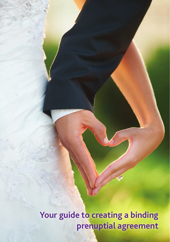**Your guide to creating a binding prenuptial agreement**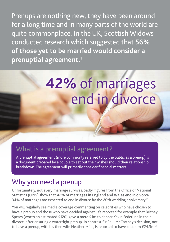Prenups are nothing new, they have been around for a long time and in many parts of the world are quite commonplace. In the UK, Scottish Widows conducted research which suggested that **56% of those yet to be married would consider a prenuptial agreement.**<sup>1</sup>

# **42%** of marriages end in divorce

## What is a prenuptial agreement?

A prenuptial agreement (more commonly referred to by the public as a prenup) is a document prepared by a couple to set out their wishes should their relationship breakdown. The agreement will primarily consider financial matters.

## Why you need a prenup

Unfortunately, not every marriage survives. Sadly, figures from the Office of National Statistics (ONS) show that **42% of marriages in England and Wales end in divorce**. 34% of marriages are expected to end in divorce by the 20th wedding anniversary.<sup>2</sup>

You will regularly see media coverage commenting on celebrities who have chosen to have a prenup and those who have decided against. It's reported for example that Britney Spears (worth an estimated \$120) gave a mere \$1m to dancer Kevin Federline in their divorce, after ensuring a watertight prenup. In contrast Sir Paul McCartney's decision, not to have a prenup, with his then wife Heather Mills, is reported to have cost him  $£24.3m.<sup>3</sup>$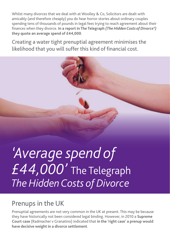Whilst many divorces that we deal with at Woolley & Co, Solicitors are dealt with amicably (and therefore cheaply) you do hear horror stories about ordinary couples spending tens of thousands of pounds in legal fees trying to reach agreement about their finances when they divorce. **In a report in The Telegraph** *(The Hidden Costs of Divorce4)* **they quote an average spend of £44,000**.

Creating a water tight prenuptial agreement minimises the likelihood that you will suffer this kind of financial cost.



## Prenups in the UK

Prenuptial agreements are not very common in the UK at present. This may be because they have historically not been considered legal binding. However, in 2010 a **Supreme Court case** (Radmacher v Granatino) indicated that **in the 'right case' a prenup would have decisive weight in a divorce settlement**.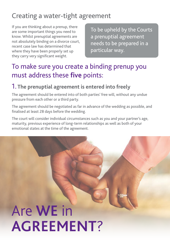# Creating a water-tight agreement

If you are thinking about a prenup, there are some important things you need to know. Whilst prenuptial agreements are not absolutely binding on a divorce court, recent case law has determined that where they have been properly set up they carry very significant weight.

To be upheld by the Courts a prenuptial agreement needs to be prepared in a particular way.

## To make sure you create a binding prenup you must address these **five** points:

#### 1. **The prenuptial agreement is entered into freely**

The agreement should be entered into of both parties' free will, without any undue pressure from each other or a third party.

The agreement should be negotiated as far in advance of the wedding as possible, and finalised at least 28 days before the wedding.

The court will consider individual circumstances such as you and your partner's age, maturity, previous experience of long-term relationships as well as both of your emotional states at the time of the agreement.

# Are **we** in **agreement**?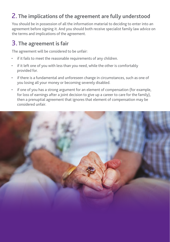### 2. **The implications of the agreement are fully understood**

You should be in possession of all the information material to deciding to enter into an agreement before signing it. And you should both receive specialist family law advice on the terms and implications of the agreement.

### 3. **The agreement is fair**

The agreement will be considered to be unfair:

- if it fails to meet the reasonable requirements of any children.
- if it left one of you with less than you need, while the other is comfortably provided for.
- if there is a fundamental and unforeseen change in circumstances, such as one of you losing all your money or becoming severely disabled.
- if one of you has a strong argument for an element of compensation (for example, for loss of earnings after a joint decision to give up a career to care for the family), then a prenuptial agreement that ignores that element of compensation may be considered unfair.

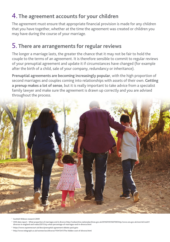### 4. **The agreement accounts for your children**

The agreement must ensure that appropriate financial provision is made for any children that you have together, whether at the time the agreement was created or children you may have during the course of your marriage.

### 5. **There are arrangements for regular reviews**

The longer a marriage lasts, the greater the chance that it may not be fair to hold the couple to the terms of an agreement. It is therefore sensible to commit to regular reviews of your prenuptial agreement and update it if circumstances have changed (for example after the birth of a child, sale of your company, redundancy or inheritance).

**Prenuptial agreements are becoming increasingly popular**, with the high proportion of second marriages and couples coming into relationships with assets of their own. **Getting a prenup makes a lot of sense**, but it is really important to take advice from a specialist family lawyer and make sure the agreement is drawn up correctly and you are advised throughout the process.



- **<sup>1</sup> Scottish Widows research 2009**
- **<sup>2</sup> ONS data report What proportion of marriages end in divorce http://webarchive.nationalarchives.gov.uk/20160105160709/http:/www.ons.gov.uk/ons/rel/vsob1/ divorces-in-england-and-wales/2011/sty-what-percentage-of-marriages-end-in-divorce.html**
- **3 https://www.supremecourt.uk/docs/prenuptial-agreement-debate-pack.pptx**
- **4 http://www.telegraph.co.uk/women/sex/divorce/11041341/The-hidden-cost-of-divorce.html**